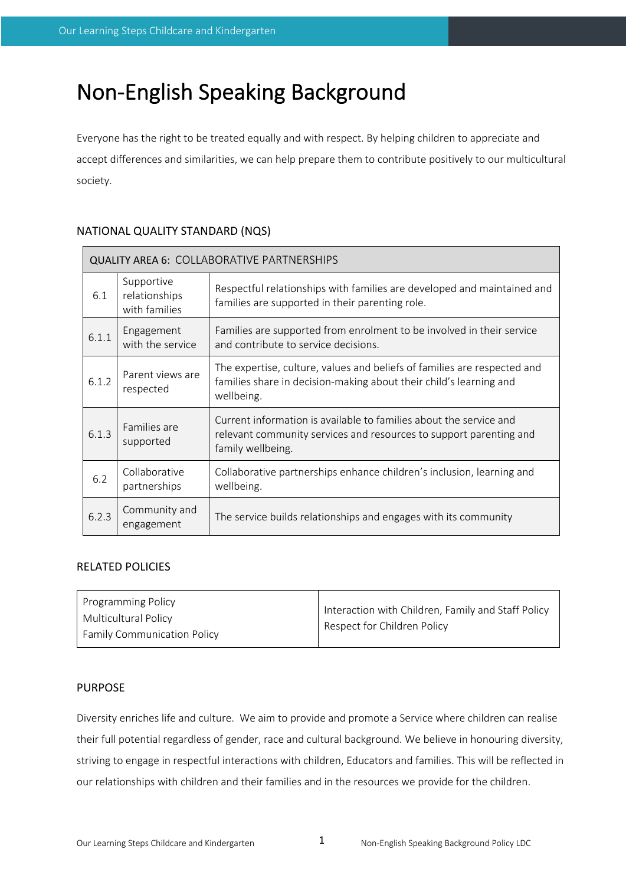# Non-English Speaking Background

Everyone has the right to be treated equally and with respect. By helping children to appreciate and accept differences and similarities, we can help prepare them to contribute positively to our multicultural society.

# NATIONAL QUALITY STANDARD (NQS)

| <b>QUALITY AREA 6: COLLABORATIVE PARTNERSHIPS</b> |                                              |                                                                                                                                                               |  |  |
|---------------------------------------------------|----------------------------------------------|---------------------------------------------------------------------------------------------------------------------------------------------------------------|--|--|
| 6.1                                               | Supportive<br>relationships<br>with families | Respectful relationships with families are developed and maintained and<br>families are supported in their parenting role.                                    |  |  |
| 6.1.1                                             | Engagement<br>with the service               | Families are supported from enrolment to be involved in their service<br>and contribute to service decisions.                                                 |  |  |
| 6.1.2                                             | Parent views are<br>respected                | The expertise, culture, values and beliefs of families are respected and<br>families share in decision-making about their child's learning and<br>wellbeing.  |  |  |
| 6.1.3                                             | Families are<br>supported                    | Current information is available to families about the service and<br>relevant community services and resources to support parenting and<br>family wellbeing. |  |  |
| 6.2                                               | Collaborative<br>partnerships                | Collaborative partnerships enhance children's inclusion, learning and<br>wellbeing.                                                                           |  |  |
| 6.2.3                                             | Community and<br>engagement                  | The service builds relationships and engages with its community                                                                                               |  |  |

#### RELATED POLICIES

#### PURPOSE

Diversity enriches life and culture. We aim to provide and promote a Service where children can realise their full potential regardless of gender, race and cultural background. We believe in honouring diversity, striving to engage in respectful interactions with children, Educators and families. This will be reflected in our relationships with children and their families and in the resources we provide for the children.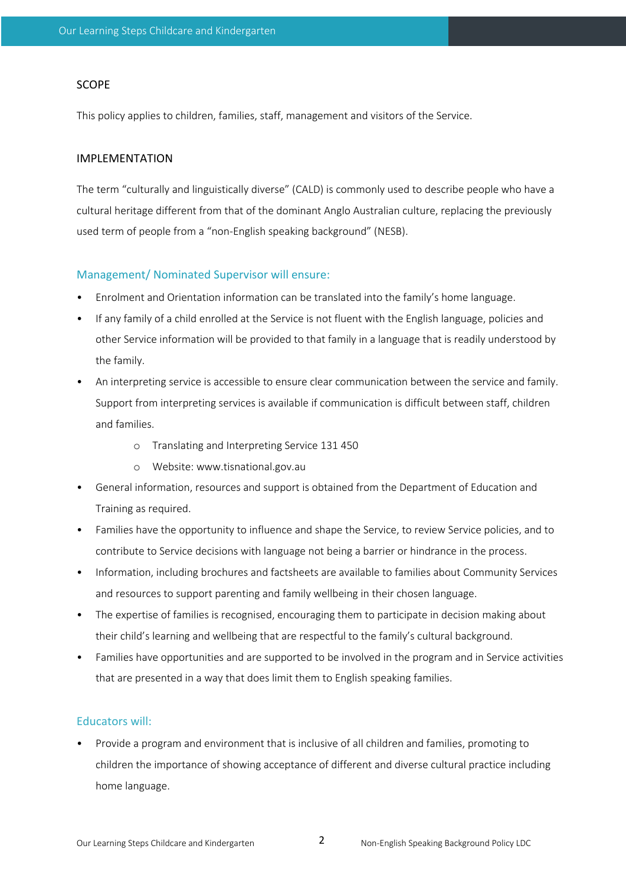### SCOPE

This policy applies to children, families, staff, management and visitors of the Service.

#### IMPLEMENTATION

The term "culturally and linguistically diverse" (CALD) is commonly used to describe people who have a cultural heritage different from that of the dominant Anglo Australian culture, replacing the previously used term of people from a "non-English speaking background" (NESB).

## Management/ Nominated Supervisor will ensure:

- Enrolment and Orientation information can be translated into the family's home language.
- If any family of a child enrolled at the Service is not fluent with the English language, policies and other Service information will be provided to that family in a language that is readily understood by the family.
- An interpreting service is accessible to ensure clear communication between the service and family. Support from interpreting services is available if communication is difficult between staff, children and families.
	- o Translating and Interpreting Service 131 450
	- o Website: www.tisnational.gov.au
- General information, resources and support is obtained from the Department of Education and Training as required.
- Families have the opportunity to influence and shape the Service, to review Service policies, and to contribute to Service decisions with language not being a barrier or hindrance in the process.
- Information, including brochures and factsheets are available to families about Community Services and resources to support parenting and family wellbeing in their chosen language.
- The expertise of families is recognised, encouraging them to participate in decision making about their child's learning and wellbeing that are respectful to the family's cultural background.
- Families have opportunities and are supported to be involved in the program and in Service activities that are presented in a way that does limit them to English speaking families.

# Educators will:

• Provide a program and environment that is inclusive of all children and families, promoting to children the importance of showing acceptance of different and diverse cultural practice including home language.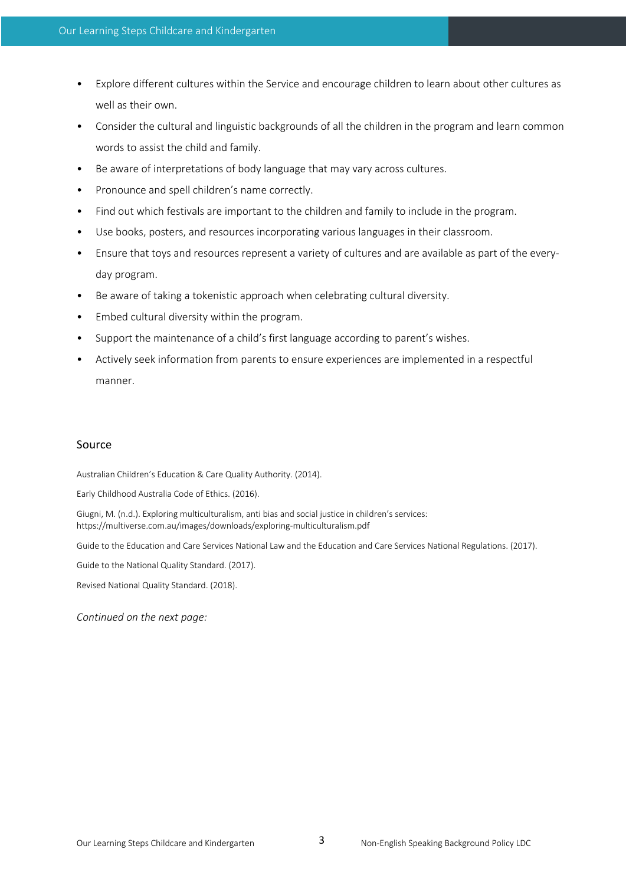- Explore different cultures within the Service and encourage children to learn about other cultures as well as their own.
- Consider the cultural and linguistic backgrounds of all the children in the program and learn common words to assist the child and family.
- Be aware of interpretations of body language that may vary across cultures.
- Pronounce and spell children's name correctly.
- Find out which festivals are important to the children and family to include in the program.
- Use books, posters, and resources incorporating various languages in their classroom.
- Ensure that toys and resources represent a variety of cultures and are available as part of the everyday program.
- Be aware of taking a tokenistic approach when celebrating cultural diversity.
- Embed cultural diversity within the program.
- Support the maintenance of a child's first language according to parent's wishes.
- Actively seek information from parents to ensure experiences are implemented in a respectful manner.

#### Source

Australian Children's Education & Care Quality Authority. (2014).

Early Childhood Australia Code of Ethics. (2016).

Giugni, M. (n.d.). Exploring multiculturalism, anti bias and social justice in children's services: https://multiverse.com.au/images/downloads/exploring-multiculturalism.pdf

Guide to the Education and Care Services National Law and the Education and Care Services National Regulations. (2017).

Guide to the National Quality Standard. (2017).

Revised National Quality Standard. (2018).

*Continued on the next page:*